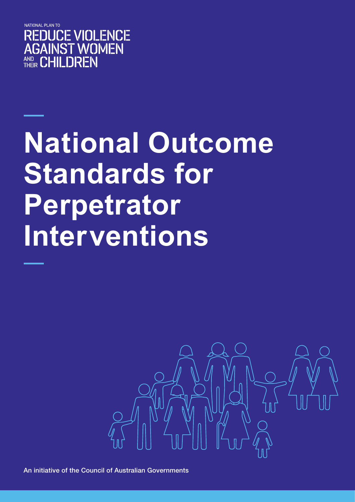

# **National Outcome Standards for Perpetrator Interventions**



An initiative of the Council of Australian Governments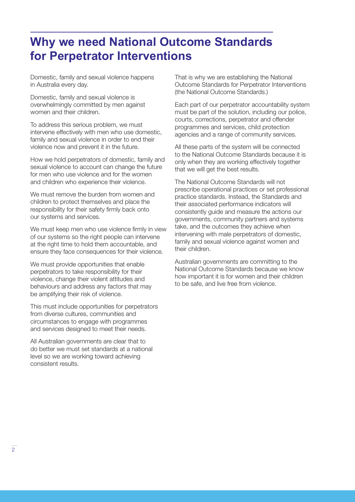# **Why we need National Outcome Standards for Perpetrator Interventions**

Domestic, family and sexual violence happens in Australia every day.

Domestic, family and sexual violence is overwhelmingly committed by men against women and their children.

To address this serious problem, we must intervene effectively with men who use domestic, family and sexual violence in order to end their violence now and prevent it in the future.

How we hold perpetrators of domestic, family and sexual violence to account can change the future for men who use violence and for the women and children who experience their violence.

We must remove the burden from women and children to protect themselves and place the responsibility for their safety firmly back onto our systems and services.

We must keep men who use violence firmly in view of our systems so the right people can intervene at the right time to hold them accountable, and ensure they face consequences for their violence.

We must provide opportunities that enable perpetrators to take responsibility for their violence, change their violent attitudes and behaviours and address any factors that may be amplifying their risk of violence.

This must include opportunities for perpetrators from diverse cultures, communities and circumstances to engage with programmes and services designed to meet their needs.

All Australian governments are clear that to do better we must set standards at a national level so we are working toward achieving consistent results.

That is why we are establishing the National Outcome Standards for Perpetrator Interventions (the National Outcome Standards.)

Each part of our perpetrator accountability system must be part of the solution, including our police, courts, corrections, perpetrator and offender programmes and services, child protection agencies and a range of community services.

All these parts of the system will be connected to the National Outcome Standards because it is only when they are working effectively together that we will get the best results.

The National Outcome Standards will not prescribe operational practices or set professional practice standards. Instead, the Standards and their associated performance indicators will consistently guide and measure the actions our governments, community partners and systems take, and the outcomes they achieve when intervening with male perpetrators of domestic, family and sexual violence against women and their children.

Australian governments are committing to the National Outcome Standards because we know how important it is for women and their children to be safe, and live free from violence.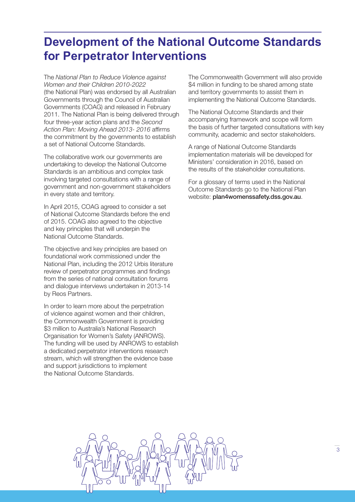# **Development of the National Outcome Standards for Perpetrator Interventions**

The *National Plan to Reduce Violence against Women and their Children 2010-2022* (the National Plan) was endorsed by all Australian Governments through the Council of Australian Governments (COAG) and released in February 2011. The National Plan is being delivered through four three-year action plans and the *Second Action Plan: Moving Ahead 2013- 2016* affirms the commitment by the governments to establish a set of National Outcome Standards.

The collaborative work our governments are undertaking to develop the National Outcome Standards is an ambitious and complex task involving targeted consultations with a range of government and non-government stakeholders in every state and territory.

In April 2015, COAG agreed to consider a set of National Outcome Standards before the end of 2015. COAG also agreed to the objective and key principles that will underpin the National Outcome Standards.

The objective and key principles are based on foundational work commissioned under the National Plan, including the 2012 Urbis literature review of perpetrator programmes and findings from the series of national consultation forums and dialogue interviews undertaken in 2013-14 by Reos Partners.

In order to learn more about the perpetration of violence against women and their children, the Commonwealth Government is providing \$3 million to Australia's National Research Organisation for Women's Safety (ANROWS). The funding will be used by ANROWS to establish a dedicated perpetrator interventions research stream, which will strengthen the evidence base and support jurisdictions to implement the National Outcome Standards.

The Commonwealth Government will also provide \$4 million in funding to be shared among state and territory governments to assist them in implementing the National Outcome Standards.

The National Outcome Standards and their accompanying framework and scope will form the basis of further targeted consultations with key community, academic and sector stakeholders.

A range of National Outcome Standards implementation materials will be developed for Ministers' consideration in 2016, based on the results of the stakeholder consultations.

For a glossary of terms used in the National Outcome Standards go to the National Plan website: plan4womenssafety.dss.gov.au.

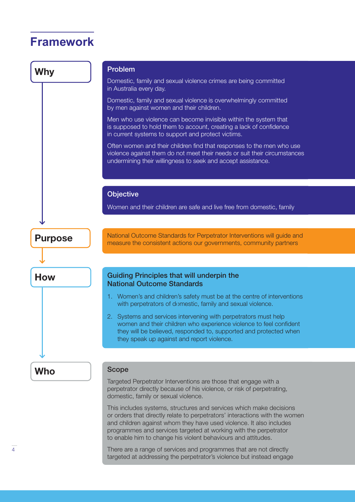# **Framework**

| Why            | Problem                                                                                                                                                                                                                                                     |
|----------------|-------------------------------------------------------------------------------------------------------------------------------------------------------------------------------------------------------------------------------------------------------------|
|                | Domestic, family and sexual violence crimes are being committed<br>in Australia every day.                                                                                                                                                                  |
|                | Domestic, family and sexual violence is overwhelmingly committed<br>by men against women and their children.                                                                                                                                                |
|                | Men who use violence can become invisible within the system that<br>is supposed to hold them to account, creating a lack of confidence<br>in current systems to support and protect victims.                                                                |
|                | Often women and their children find that responses to the men who use<br>violence against them do not meet their needs or suit their circumstances<br>undermining their willingness to seek and accept assistance.                                          |
|                |                                                                                                                                                                                                                                                             |
|                | <b>Objective</b><br>Women and their children are safe and live free from domestic, family                                                                                                                                                                   |
|                |                                                                                                                                                                                                                                                             |
| <b>Purpose</b> | National Outcome Standards for Perpetrator Interventions will guide and<br>measure the consistent actions our governments, community partners                                                                                                               |
|                |                                                                                                                                                                                                                                                             |
| <b>How</b>     | <b>Guiding Principles that will underpin the</b><br><b>National Outcome Standards</b>                                                                                                                                                                       |
|                | 1. Women's and children's safety must be at the centre of interventions<br>with perpetrators of domestic, family and sexual violence.                                                                                                                       |
|                | Systems and services intervening with perpetrators must help<br>2.<br>women and their children who experience violence to feel confident<br>they will be believed, responded to, supported and protected when<br>they speak up against and report violence. |
|                |                                                                                                                                                                                                                                                             |
| Who            | <b>Scope</b>                                                                                                                                                                                                                                                |
|                | Targeted Perpetrator Interventions are those that engage with a<br>perpetrator directly because of his violence, or risk of perpetrating,<br>domestic, family or sexual violence.                                                                           |
|                | This includes systems, structures and services which make decisions                                                                                                                                                                                         |

or orders that directly relate to perpetrators' interactions with the women and children against whom they have used violence. It also includes programmes and services targeted at working with the perpetrator to enable him to change his violent behaviours and attitudes.

There are a range of services and programmes that are not directly targeted at addressing the perpetrator's violence but instead engage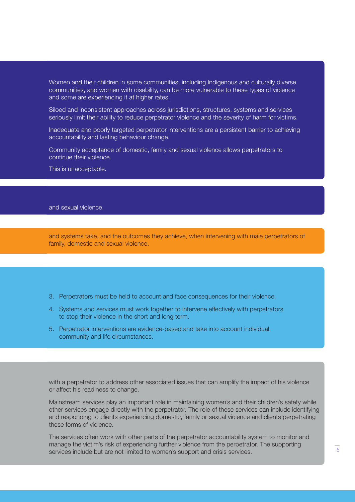Women and their children in some communities, including Indigenous and culturally diverse communities, and women with disability, can be more vulnerable to these types of violence and some are experiencing it at higher rates.

Siloed and inconsistent approaches across jurisdictions, structures, systems and services seriously limit their ability to reduce perpetrator violence and the severity of harm for victims.

Inadequate and poorly targeted perpetrator interventions are a persistent barrier to achieving accountability and lasting behaviour change.

Community acceptance of domestic, family and sexual violence allows perpetrators to continue their violence.

This is unacceptable.

#### and sexual violence.

and systems take, and the outcomes they achieve, when intervening with male perpetrators of family, domestic and sexual violence.

- 3. Perpetrators must be held to account and face consequences for their violence.
- 4. Systems and services must work together to intervene effectively with perpetrators to stop their violence in the short and long term.
- 5. Perpetrator interventions are evidence-based and take into account individual, community and life circumstances.

with a perpetrator to address other associated issues that can amplify the impact of his violence or affect his readiness to change.

Mainstream services play an important role in maintaining women's and their children's safety while other services engage directly with the perpetrator. The role of these services can include identifying and responding to clients experiencing domestic, family or sexual violence and clients perpetrating these forms of violence.

The services often work with other parts of the perpetrator accountability system to monitor and manage the victim's risk of experiencing further violence from the perpetrator. The supporting services include but are not limited to women's support and crisis services.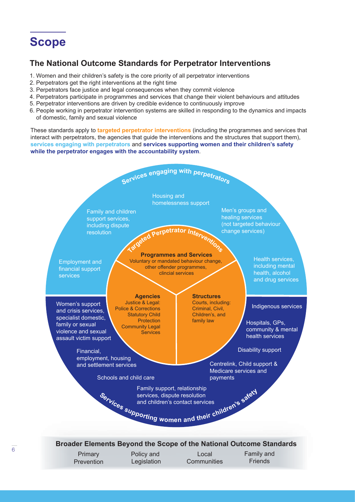# **Scope**

## **The National Outcome Standards for Perpetrator Interventions**

- 1. Women and their children's safety is the core priority of all perpetrator interventions
- 2. Perpetrators get the right interventions at the right time
- 3. Perpetrators face justice and legal consequences when they commit violence
- 4. Perpetrators participate in programmes and services that change their violent behaviours and attitudes
- 5. Perpetrator interventions are driven by credible evidence to continuously improve
- 6. People working in perpetrator intervention systems are skilled in responding to the dynamics and impacts of domestic, family and sexual violence

These standards apply to **targeted perpetrator interventions** (including the programmes and services that interact with perpetrators, the agencies that guide the interventions and the structures that support them), **services engaging with perpetrators** and **services supporting women and their children's safety while the perpetrator engages with the accountability system**.

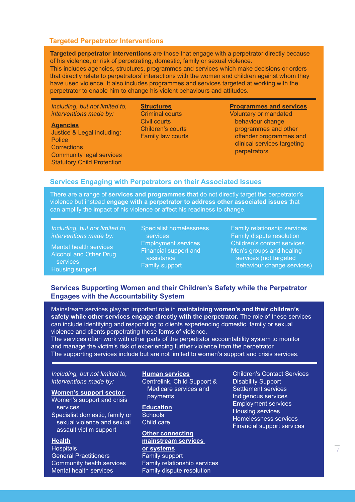#### **Targeted Perpetrator Interventions**

**Targeted perpetrator interventions** are those that engage with a perpetrator directly because of his violence, or risk of perpetrating, domestic, family or sexual violence. This includes agencies, structures, programmes and services which make decisions or orders that directly relate to perpetrators' interactions with the women and children against whom they have used violence. It also includes programmes and services targeted at working with the perpetrator to enable him to change his violent behaviours and attitudes.

*Including, but not limited to, interventions made by:*

**Agencies** Justice & Legal including: Police **Corrections** Community legal services Statutory Child Protection

**Structures** Criminal courts Civil courts Children's courts Family law courts

**Programmes and services** Voluntary or mandated behaviour change programmes and other offender programmes and clinical services targeting perpetrators

#### **Services Engaging with Perpetrators on their Associated Issues**

There are a range of **services and programmes that** do not directly target the perpetrator's violence but instead **engage with a perpetrator to address other associated issues** that can amplify the impact of his violence or affect his readiness to change.

*Including, but not limited to, interventions made by:*

Mental health services Alcohol and Other Drug services Housing support

Specialist homelessness services Employment services Financial support and assistance Family support

Family relationship services Family dispute resolution Children's contact services Men's groups and healing services (not targeted behaviour change services)

#### **Services Supporting Women and their Children's Safety while the Perpetrator Engages with the Accountability System**

Mainstream services play an important role in **maintaining women's and their children's safety while other services engage directly with the perpetrator.** The role of these services can include identifying and responding to clients experiencing domestic, family or sexual violence and clients perpetrating these forms of violence.

The services often work with other parts of the perpetrator accountability system to monitor and manage the victim's risk of experiencing further violence from the perpetrator. The supporting services include but are not limited to women's support and crisis services.

*Including, but not limited to, interventions made by:*

**Women's support sector** 

- Women's support and crisis services
- Specialist domestic, family or sexual violence and sexual assault victim support

#### **Health**

**Hospitals** General Practitioners Community health services Mental health services

#### **Human services**

Centrelink, Child Support & Medicare services and payments

**Education Schools** Child care

**Other connecting mainstream services or systems** Family support Family relationship services Family dispute resolution

Children's Contact Services Disability Support Settlement services Indigenous services Employment services Housing services Homelessness services Financial support services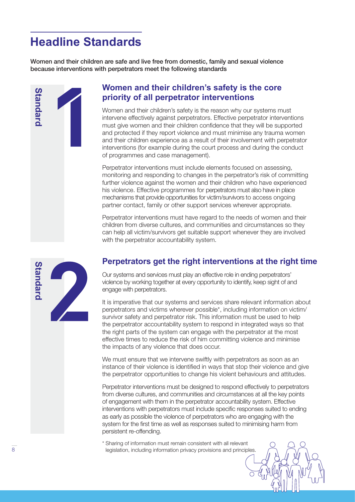# **Headline Standards**

Women and their children are safe and live free from domestic, family and sexual violence because interventions with perpetrators meet the following standards



## **Women and their children's safety is the core priority of all perpetrator interventions**

Women and their children's safety is the reason why our systems must intervene effectively against perpetrators. Effective perpetrator interventions must give women and their children confidence that they will be supported and protected if they report violence and must minimise any trauma women and their children experience as a result of their involvement with perpetrator interventions (for example during the court process and during the conduct of programmes and case management).

Perpetrator interventions must include elements focused on assessing, monitoring and responding to changes in the perpetrator's risk of committing further violence against the women and their children who have experienced his violence. Effective programmes for perpetrators must also have in place mechanisms that provide opportunities for victim/survivors to access ongoing partner contact, family or other support services wherever appropriate.

Perpetrator interventions must have regard to the needs of women and their children from diverse cultures, and communities and circumstances so they can help all victim/survivors get suitable support whenever they are involved with the perpetrator accountability system.



## **Perpetrators get the right interventions at the right time**

Our systems and services must play an effective role in ending perpetrators' violence by working together at every opportunity to identify, keep sight of and engage with perpetrators.

It is imperative that our systems and services share relevant information about perpetrators and victims wherever possible\*, including information on victim/ survivor safety and perpetrator risk. This information must be used to help the perpetrator accountability system to respond in integrated ways so that the right parts of the system can engage with the perpetrator at the most effective times to reduce the risk of him committing violence and minimise the impacts of any violence that does occur.

We must ensure that we intervene swiftly with perpetrators as soon as an instance of their violence is identified in ways that stop their violence and give the perpetrator opportunities to change his violent behaviours and attitudes.

Perpetrator interventions must be designed to respond effectively to perpetrators from diverse cultures, and communities and circumstances at all the key points of engagement with them in the perpetrator accountability system. Effective interventions with perpetrators must include specific responses suited to ending as early as possible the violence of perpetrators who are engaging with the system for the first time as well as responses suited to minimising harm from persistent re-offending.

\* Sharing of information must remain consistent with all relevant legislation, including information privacy provisions and principles.

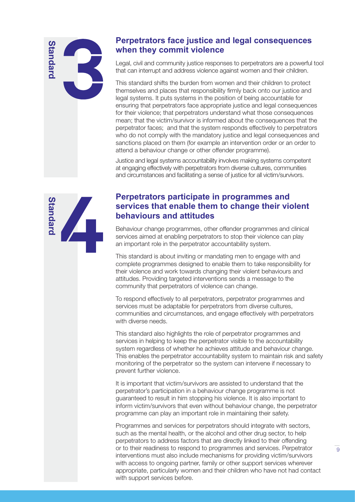

## **Perpetrators face justice and legal consequences when they commit violence**

Legal, civil and community justice responses to perpetrators are a powerful tool that can interrupt and address violence against women and their children.

This standard shifts the burden from women and their children to protect themselves and places that responsibility firmly back onto our justice and legal systems. It puts systems in the position of being accountable for ensuring that perpetrators face appropriate justice and legal consequences for their violence; that perpetrators understand what those consequences mean; that the victim/survivor is informed about the consequences that the perpetrator faces; and that the system responds effectively to perpetrators who do not comply with the mandatory justice and legal consequences and sanctions placed on them (for example an intervention order or an order to attend a behaviour change or other offender programme).

Justice and legal systems accountability involves making systems competent at engaging effectively with perpetrators from diverse cultures, communities and circumstances and facilitating a sense of justice for all victim/survivors.



## **Perpetrators participate in programmes and services that enable them to change their violent behaviours and attitudes**

Behaviour change programmes, other offender programmes and clinical services aimed at enabling perpetrators to stop their violence can play an important role in the perpetrator accountability system.

This standard is about inviting or mandating men to engage with and complete programmes designed to enable them to take responsibility for their violence and work towards changing their violent behaviours and attitudes. Providing targeted interventions sends a message to the community that perpetrators of violence can change.

To respond effectively to all perpetrators, perpetrator programmes and services must be adaptable for perpetrators from diverse cultures, communities and circumstances, and engage effectively with perpetrators with diverse needs.

This standard also highlights the role of perpetrator programmes and services in helping to keep the perpetrator visible to the accountability system regardless of whether he achieves attitude and behaviour change. This enables the perpetrator accountability system to maintain risk and safety monitoring of the perpetrator so the system can intervene if necessary to prevent further violence.

It is important that victim/survivors are assisted to understand that the perpetrator's participation in a behaviour change programme is not guaranteed to result in him stopping his violence. It is also important to inform victim/survivors that even without behaviour change, the perpetrator programme can play an important role in maintaining their safety.

Programmes and services for perpetrators should integrate with sectors, such as the mental health, or the alcohol and other drug sector, to help perpetrators to address factors that are directly linked to their offending or to their readiness to respond to programmes and services. Perpetrator interventions must also include mechanisms for providing victim/survivors with access to ongoing partner, family or other support services wherever appropriate, particularly women and their children who have not had contact with support services before.

9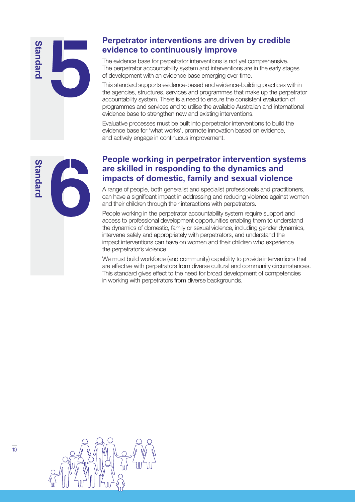

## **Perpetrator interventions are driven by credible evidence to continuously improve**

The evidence base for perpetrator interventions is not yet comprehensive. The perpetrator accountability system and interventions are in the early stages of development with an evidence base emerging over time.

This standard supports evidence-based and evidence-building practices within the agencies, structures, services and programmes that make up the perpetrator accountability system. There is a need to ensure the consistent evaluation of programmes and services and to utilise the available Australian and international evidence base to strengthen new and existing interventions.

Evaluative processes must be built into perpetrator interventions to build the evidence base for 'what works', promote innovation based on evidence, and actively engage in continuous improvement.



## **People working in perpetrator intervention systems are skilled in responding to the dynamics and impacts of domestic, family and sexual violence**

A range of people, both generalist and specialist professionals and practitioners, can have a significant impact in addressing and reducing violence against women and their children through their interactions with perpetrators.

People working in the perpetrator accountability system require support and access to professional development opportunities enabling them to understand the dynamics of domestic, family or sexual violence, including gender dynamics, intervene safely and appropriately with perpetrators, and understand the impact interventions can have on women and their children who experience the perpetrator's violence.

We must build workforce (and community) capability to provide interventions that are effective with perpetrators from diverse cultural and community circumstances. This standard gives effect to the need for broad development of competencies in working with perpetrators from diverse backgrounds.

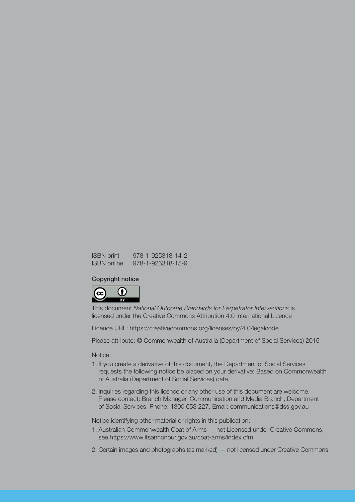| <b>ISBN</b> print  | 978-1-925318-14-2 |
|--------------------|-------------------|
| <b>ISBN</b> online | 978-1-925318-15-9 |

#### Copyright notice



This document *National Outcome Standards for Perpetrator Interventions* is licensed under the Creative Commons Attribution 4.0 International Licence

Licence URL: https://creativecommons.org/licenses/by/4.0/legalcode

Please attribute: © Commonwealth of Australia (Department of Social Services) 2015

Notice:

- 1. If you create a derivative of this document, the Department of Social Services requests the following notice be placed on your derivative: Based on Commonwealth of Australia (Department of Social Services) data.
- 2. Inquiries regarding this licence or any other use of this document are welcome. Please contact: Branch Manager, Communication and Media Branch, Department of Social Services. Phone: 1300 653 227. Email: communications@dss.gov.au

Notice identifying other material or rights in this publication:

- 1. Australian Commonwealth Coat of Arms not Licensed under Creative Commons, see https://www.itsanhonour.gov.au/coat-arms/index.cfm
- 2. Certain images and photographs (as marked) not licensed under Creative Commons